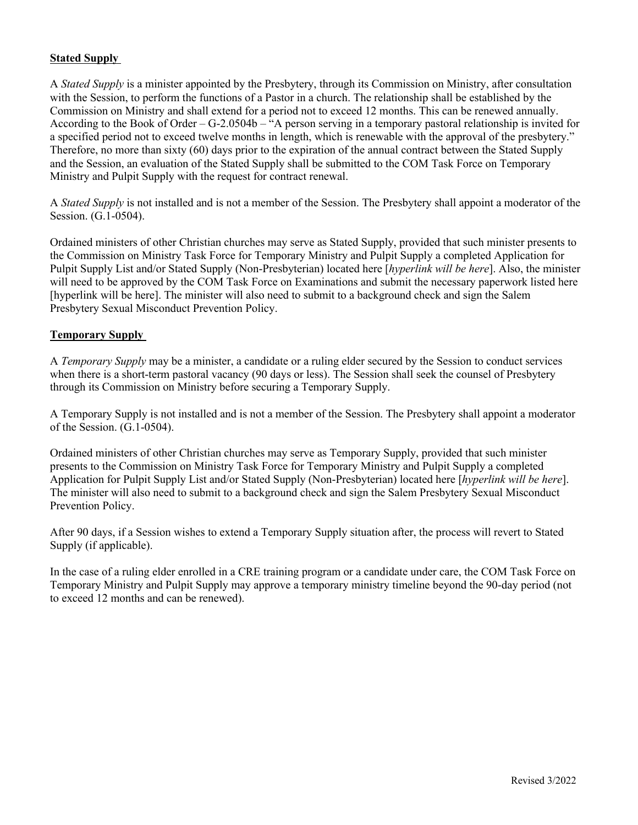## **Stated Supply**

A *Stated Supply* is a minister appointed by the Presbytery, through its Commission on Ministry, after consultation with the Session, to perform the functions of a Pastor in a church. The relationship shall be established by the Commission on Ministry and shall extend for a period not to exceed 12 months. This can be renewed annually. According to the Book of Order – G-2.0504b – "A person serving in a temporary pastoral relationship is invited for a specified period not to exceed twelve months in length, which is renewable with the approval of the presbytery." Therefore, no more than sixty (60) days prior to the expiration of the annual contract between the Stated Supply and the Session, an evaluation of the Stated Supply shall be submitted to the COM Task Force on Temporary Ministry and Pulpit Supply with the request for contract renewal.

A *Stated Supply* is not installed and is not a member of the Session. The Presbytery shall appoint a moderator of the Session. (G.1-0504).

Ordained ministers of other Christian churches may serve as Stated Supply, provided that such minister presents to the Commission on Ministry Task Force for Temporary Ministry and Pulpit Supply a completed Application for Pulpit Supply List and/or Stated Supply (Non-Presbyterian) located here [*hyperlink will be here*]. Also, the minister will need to be approved by the COM Task Force on Examinations and submit the necessary paperwork listed here [hyperlink will be here]. The minister will also need to submit to a background check and sign the Salem Presbytery Sexual Misconduct Prevention Policy.

## **Temporary Supply**

A *Temporary Supply* may be a minister, a candidate or a ruling elder secured by the Session to conduct services when there is a short-term pastoral vacancy (90 days or less). The Session shall seek the counsel of Presbytery through its Commission on Ministry before securing a Temporary Supply.

A Temporary Supply is not installed and is not a member of the Session. The Presbytery shall appoint a moderator of the Session. (G.1-0504).

Ordained ministers of other Christian churches may serve as Temporary Supply, provided that such minister presents to the Commission on Ministry Task Force for Temporary Ministry and Pulpit Supply a completed Application for Pulpit Supply List and/or Stated Supply (Non-Presbyterian) located here [*hyperlink will be here*]. The minister will also need to submit to a background check and sign the Salem Presbytery Sexual Misconduct Prevention Policy.

After 90 days, if a Session wishes to extend a Temporary Supply situation after, the process will revert to Stated Supply (if applicable).

In the case of a ruling elder enrolled in a CRE training program or a candidate under care, the COM Task Force on Temporary Ministry and Pulpit Supply may approve a temporary ministry timeline beyond the 90-day period (not to exceed 12 months and can be renewed).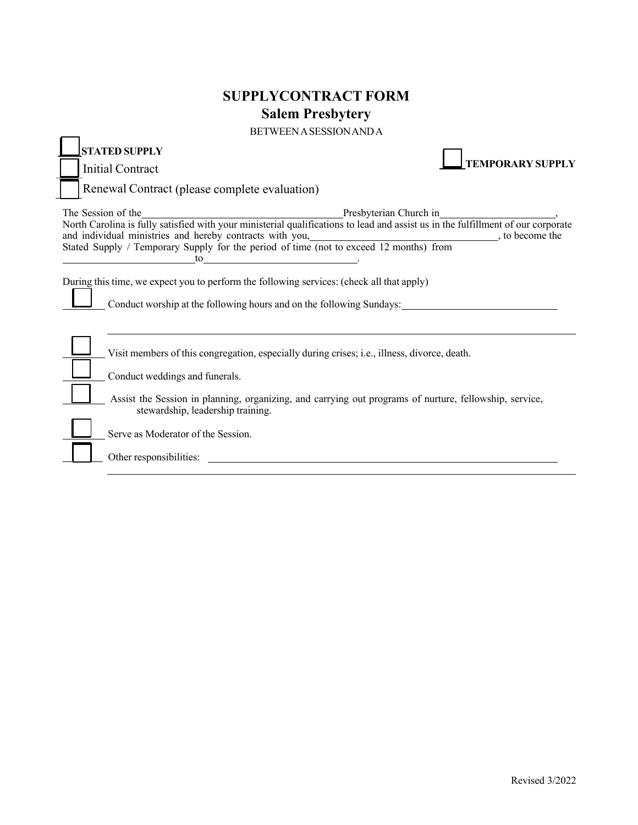## **SUPPLYCONTRACT FORM Salem Presbytery**

BETWEENASESSIONANDA

| DET MEET ASESSION AIND A                                                                                                                                                                                                                                                                                                                                                                                                                                                                                                                                              |                                                                                              |  |                         |
|-----------------------------------------------------------------------------------------------------------------------------------------------------------------------------------------------------------------------------------------------------------------------------------------------------------------------------------------------------------------------------------------------------------------------------------------------------------------------------------------------------------------------------------------------------------------------|----------------------------------------------------------------------------------------------|--|-------------------------|
| <b>STATED SUPPLY</b>                                                                                                                                                                                                                                                                                                                                                                                                                                                                                                                                                  |                                                                                              |  |                         |
| <b>Initial Contract</b>                                                                                                                                                                                                                                                                                                                                                                                                                                                                                                                                               |                                                                                              |  | <b>TEMPORARY SUPPLY</b> |
| Renewal Contract (please complete evaluation)                                                                                                                                                                                                                                                                                                                                                                                                                                                                                                                         |                                                                                              |  |                         |
| The Session of the<br>North Carolina is fully satisfied with your ministerial qualifications to lead and assist us in the fulfillment of our corporate<br>North Carolina is fully satisfied with your ministerial qualifications to<br>and individual ministries and hereby contracts with you, https://www.com/enterproduced/web/2010/individual ministries and hereby contracts with you, https://www.com/enterproduced/web/2010/individual ministries and hereby c<br>Stated Supply / Temporary Supply for the period of time (not to exceed 12 months) from<br>to |                                                                                              |  |                         |
| During this time, we expect you to perform the following services: (check all that apply)<br>Conduct worship at the following hours and on the following Sundays:                                                                                                                                                                                                                                                                                                                                                                                                     |                                                                                              |  |                         |
|                                                                                                                                                                                                                                                                                                                                                                                                                                                                                                                                                                       | Visit members of this congregation, especially during crises; i.e., illness, divorce, death. |  |                         |
| Conduct weddings and funerals.                                                                                                                                                                                                                                                                                                                                                                                                                                                                                                                                        |                                                                                              |  |                         |
| Assist the Session in planning, organizing, and carrying out programs of nurture, fellowship, service,<br>stewardship, leadership training.                                                                                                                                                                                                                                                                                                                                                                                                                           |                                                                                              |  |                         |
| Serve as Moderator of the Session.                                                                                                                                                                                                                                                                                                                                                                                                                                                                                                                                    |                                                                                              |  |                         |
| Other responsibilities:                                                                                                                                                                                                                                                                                                                                                                                                                                                                                                                                               |                                                                                              |  |                         |